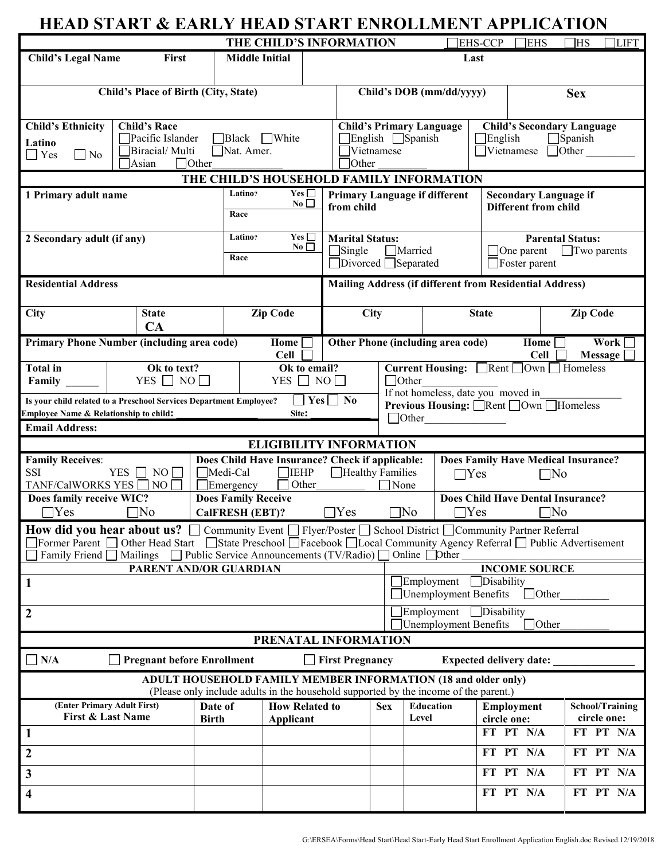| <b>HEAD START &amp; EARLY HEAD START ENROLLMENT APPLICATION</b>                                                                                                                                                                                                                                                                                                    |                                          |                                                                                                                                                              |                                                               |                                                                     |                                 |                             |                                              |                                                                 |                              |                                          |
|--------------------------------------------------------------------------------------------------------------------------------------------------------------------------------------------------------------------------------------------------------------------------------------------------------------------------------------------------------------------|------------------------------------------|--------------------------------------------------------------------------------------------------------------------------------------------------------------|---------------------------------------------------------------|---------------------------------------------------------------------|---------------------------------|-----------------------------|----------------------------------------------|-----------------------------------------------------------------|------------------------------|------------------------------------------|
|                                                                                                                                                                                                                                                                                                                                                                    |                                          |                                                                                                                                                              | THE CHILD'S INFORMATION                                       |                                                                     |                                 |                             |                                              | <b>EHS-CCP</b>                                                  | <b>EHS</b>                   | 1HS<br>LIFT <sup></sup>                  |
| <b>Child's Legal Name</b>                                                                                                                                                                                                                                                                                                                                          | First                                    | <b>Middle Initial</b>                                                                                                                                        |                                                               |                                                                     |                                 |                             | Last                                         |                                                                 |                              |                                          |
|                                                                                                                                                                                                                                                                                                                                                                    |                                          |                                                                                                                                                              |                                                               |                                                                     |                                 |                             |                                              |                                                                 |                              |                                          |
| Child's Place of Birth (City, State)                                                                                                                                                                                                                                                                                                                               |                                          |                                                                                                                                                              |                                                               |                                                                     | Child's DOB (mm/dd/yyyy)        |                             |                                              | <b>Sex</b>                                                      |                              |                                          |
| <b>Child's Ethnicity</b>                                                                                                                                                                                                                                                                                                                                           | <b>Child's Race</b><br>Pacific Islander  |                                                                                                                                                              |                                                               |                                                                     | <b>Child's Primary Language</b> |                             |                                              |                                                                 |                              | <b>Child's Secondary Language</b>        |
| Latino                                                                                                                                                                                                                                                                                                                                                             | $\Box$ Black                             | $\Box$ White                                                                                                                                                 | $\Box$ English $\Box$ Spanish<br>$\Box$ English<br>Vietnamese |                                                                     |                                 |                             |                                              |                                                                 | $\Box$ Spanish               |                                          |
| $\Box$ Yes<br>$\square$ No                                                                                                                                                                                                                                                                                                                                         | Biracial/ Multi<br>$\Box$ Other<br>Asian | Nat. Amer.                                                                                                                                                   |                                                               | <b>Other</b>                                                        |                                 |                             |                                              | $\Box$ Vietnamese                                               |                              | $\Box$ Other                             |
|                                                                                                                                                                                                                                                                                                                                                                    |                                          | THE CHILD'S HOUSEHOLD FAMILY INFORMATION                                                                                                                     |                                                               |                                                                     |                                 |                             |                                              |                                                                 |                              |                                          |
| 1 Primary adult name                                                                                                                                                                                                                                                                                                                                               |                                          | Latino?                                                                                                                                                      | Yes $\square$                                                 | <b>Primary Language if different</b>                                |                                 |                             |                                              |                                                                 | <b>Secondary Language if</b> |                                          |
|                                                                                                                                                                                                                                                                                                                                                                    | Race                                     | No                                                                                                                                                           | from child                                                    |                                                                     |                                 | <b>Different from child</b> |                                              |                                                                 |                              |                                          |
| 2 Secondary adult (if any)                                                                                                                                                                                                                                                                                                                                         | Latino?                                  | Yes                                                                                                                                                          |                                                               | <b>Marital Status:</b><br><b>Parental Status:</b>                   |                                 |                             |                                              |                                                                 |                              |                                          |
|                                                                                                                                                                                                                                                                                                                                                                    | Race                                     | No                                                                                                                                                           |                                                               | $\Box$ Single<br>Married<br>□Divorced □Separated                    |                                 |                             |                                              | $\Box$ One parent<br>$\Box$ Two parents<br>$\Box$ Foster parent |                              |                                          |
| <b>Residential Address</b>                                                                                                                                                                                                                                                                                                                                         |                                          |                                                                                                                                                              |                                                               | <b>Mailing Address (if different from Residential Address)</b>      |                                 |                             |                                              |                                                                 |                              |                                          |
| City                                                                                                                                                                                                                                                                                                                                                               | <b>State</b><br>CA                       |                                                                                                                                                              | <b>Zip Code</b>                                               |                                                                     | City                            |                             |                                              | <b>State</b>                                                    |                              | <b>Zip Code</b>                          |
| Primary Phone Number (including area code)                                                                                                                                                                                                                                                                                                                         |                                          |                                                                                                                                                              | Home                                                          |                                                                     |                                 |                             | Other Phone (including area code)            |                                                                 | Home                         | Work                                     |
| <b>Total</b> in                                                                                                                                                                                                                                                                                                                                                    | Ok to text?                              |                                                                                                                                                              | <b>Cell</b><br>Ok to email?                                   |                                                                     |                                 |                             | Current Housing: Rent DOwn D Homeless        |                                                                 | <b>Cell</b>                  | <b>Message</b>                           |
| Family                                                                                                                                                                                                                                                                                                                                                             | YES $\Box$ NO $\Box$                     |                                                                                                                                                              | YES $\Box$ NO $\Box$                                          |                                                                     |                                 | Other                       |                                              |                                                                 |                              |                                          |
| Is your child related to a Preschool Services Department Employee?                                                                                                                                                                                                                                                                                                 |                                          |                                                                                                                                                              |                                                               | $\Box$ Yes $\Box$ No                                                |                                 |                             | If not homeless, date you moved in           |                                                                 |                              |                                          |
| Employee Name & Relationship to child:                                                                                                                                                                                                                                                                                                                             |                                          |                                                                                                                                                              | Site:                                                         |                                                                     |                                 | $\Box$ Other                | Previous Housing: <b>Nemt</b> Nown IHomeless |                                                                 |                              |                                          |
| <b>Email Address:</b>                                                                                                                                                                                                                                                                                                                                              |                                          |                                                                                                                                                              |                                                               |                                                                     |                                 |                             |                                              |                                                                 |                              |                                          |
|                                                                                                                                                                                                                                                                                                                                                                    |                                          |                                                                                                                                                              | <b>ELIGIBILITY INFORMATION</b>                                |                                                                     |                                 |                             |                                              |                                                                 |                              |                                          |
| <b>Family Receives:</b><br><b>YES</b><br><b>SSI</b>                                                                                                                                                                                                                                                                                                                | Medi-Cal                                 | $\Box$ IEHP                                                                                                                                                  |                                                               | Does Child Have Insurance? Check if applicable:<br>Healthy Families |                                 |                             | <b>Does Family Have Medical Insurance?</b>   |                                                                 |                              |                                          |
| <b>TANF/CalWORKS YES</b>                                                                                                                                                                                                                                                                                                                                           | NO<br>NO.                                | $\Box$ Emergency                                                                                                                                             | Other                                                         |                                                                     | $\Box$ Yes<br>$\Box$ None       |                             |                                              | $\Box$ No                                                       |                              |                                          |
| Does family receive WIC?                                                                                                                                                                                                                                                                                                                                           |                                          | <b>Does Family Receive</b>                                                                                                                                   |                                                               |                                                                     |                                 |                             |                                              |                                                                 |                              | <b>Does Child Have Dental Insurance?</b> |
| Yes                                                                                                                                                                                                                                                                                                                                                                | $\neg$ No                                | <b>CalFRESH (EBT)?</b>                                                                                                                                       |                                                               | $\exists$ Yes                                                       |                                 | 1No                         | <b>TYes</b>                                  |                                                                 | $\neg$ No                    |                                          |
| <b>How did you hear about us?</b> $\Box$ Community Event $\Box$ Flyer/Poster $\Box$ School District $\Box$ Community Partner Referral<br>Former Parent □ Other Head Start □ State Preschool □ Facebook □ Local Community Agency Referral □ Public Advertisement<br>Family Friend [<br>Public Service Announcements (TV/Radio) □<br>Online $\Box$ Other<br>Mailings |                                          |                                                                                                                                                              |                                                               |                                                                     |                                 |                             |                                              |                                                                 |                              |                                          |
|                                                                                                                                                                                                                                                                                                                                                                    | PARENT AND/OR GUARDIAN                   |                                                                                                                                                              |                                                               |                                                                     |                                 |                             |                                              |                                                                 | <b>INCOME SOURCE</b>         |                                          |
| $\mathbf{1}$                                                                                                                                                                                                                                                                                                                                                       |                                          |                                                                                                                                                              |                                                               |                                                                     |                                 | Employment                  | Unemployment Benefits                        | Disability                                                      | $\Box$ Other                 |                                          |
| $\overline{2}$                                                                                                                                                                                                                                                                                                                                                     |                                          |                                                                                                                                                              |                                                               |                                                                     |                                 |                             | Employment<br><b>Unemployment Benefits</b>   | $\Box$ Disability                                               | $\exists$ Other              |                                          |
|                                                                                                                                                                                                                                                                                                                                                                    |                                          |                                                                                                                                                              | PRENATAL INFORMATION                                          |                                                                     |                                 |                             |                                              |                                                                 |                              |                                          |
| $\Box$ N/A                                                                                                                                                                                                                                                                                                                                                         | <b>Pregnant before Enrollment</b>        |                                                                                                                                                              |                                                               | <b>First Pregnancy</b>                                              |                                 |                             | <b>Expected delivery date:</b>               |                                                                 |                              |                                          |
|                                                                                                                                                                                                                                                                                                                                                                    |                                          | <b>ADULT HOUSEHOLD FAMILY MEMBER INFORMATION (18 and older only)</b><br>(Please only include adults in the household supported by the income of the parent.) |                                                               |                                                                     |                                 |                             |                                              |                                                                 |                              |                                          |
| (Enter Primary Adult First)                                                                                                                                                                                                                                                                                                                                        |                                          | Date of                                                                                                                                                      | <b>How Related to</b>                                         |                                                                     | <b>Sex</b>                      | <b>Education</b>            |                                              | Employment                                                      |                              | <b>School/Training</b>                   |
| <b>First &amp; Last Name</b><br>$\mathbf{1}$                                                                                                                                                                                                                                                                                                                       |                                          | <b>Birth</b>                                                                                                                                                 | Applicant                                                     |                                                                     |                                 | Level                       |                                              | circle one:<br>FT PT N/A                                        |                              | circle one:<br>FT PT N/A                 |
|                                                                                                                                                                                                                                                                                                                                                                    |                                          |                                                                                                                                                              |                                                               |                                                                     |                                 |                             |                                              | FT PT N/A                                                       |                              | FT PT N/A                                |
| $\overline{2}$                                                                                                                                                                                                                                                                                                                                                     |                                          |                                                                                                                                                              |                                                               |                                                                     |                                 |                             |                                              |                                                                 |                              |                                          |
| $\mathbf{3}$                                                                                                                                                                                                                                                                                                                                                       |                                          |                                                                                                                                                              |                                                               |                                                                     |                                 |                             |                                              | FT PT N/A                                                       |                              | FT PT N/A                                |
| $\overline{\mathbf{4}}$                                                                                                                                                                                                                                                                                                                                            |                                          |                                                                                                                                                              |                                                               |                                                                     |                                 |                             |                                              | FT PT N/A                                                       |                              | FT PT N/A                                |